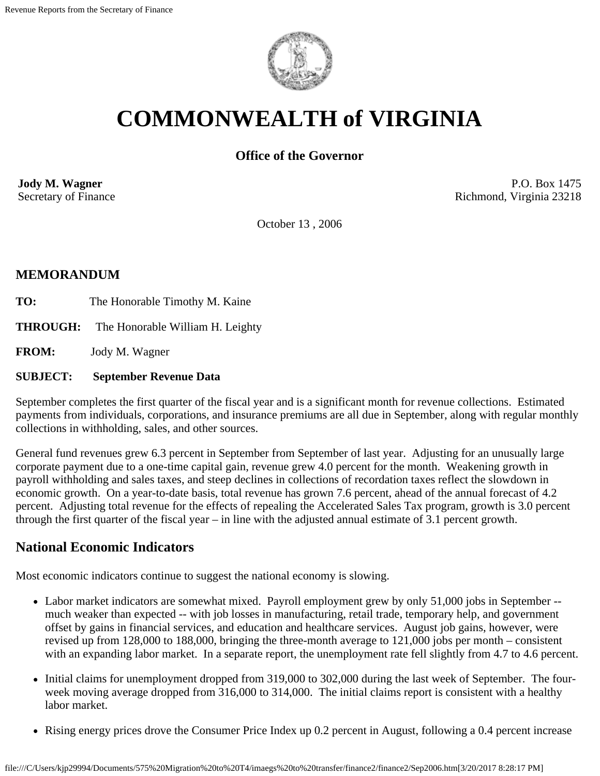

# **COMMONWEALTH of VIRGINIA**

# **Office of the Governor**

**Jody M. Wagner**  Secretary of Finance

P.O. Box 1475 Richmond, Virginia 23218

October 13 , 2006

## **MEMORANDUM**

- TO: The Honorable Timothy M. Kaine
- **THROUGH:** The Honorable William H. Leighty

**FROM:** Jody M. Wagner

#### **SUBJECT: September Revenue Data**

September completes the first quarter of the fiscal year and is a significant month for revenue collections. Estimated payments from individuals, corporations, and insurance premiums are all due in September, along with regular monthly collections in withholding, sales, and other sources.

General fund revenues grew 6.3 percent in September from September of last year. Adjusting for an unusually large corporate payment due to a one-time capital gain, revenue grew 4.0 percent for the month. Weakening growth in payroll withholding and sales taxes, and steep declines in collections of recordation taxes reflect the slowdown in economic growth. On a year-to-date basis, total revenue has grown 7.6 percent, ahead of the annual forecast of 4.2 percent. Adjusting total revenue for the effects of repealing the Accelerated Sales Tax program, growth is 3.0 percent through the first quarter of the fiscal year – in line with the adjusted annual estimate of 3.1 percent growth.

# **National Economic Indicators**

Most economic indicators continue to suggest the national economy is slowing.

- Labor market indicators are somewhat mixed. Payroll employment grew by only 51,000 jobs in September much weaker than expected -- with job losses in manufacturing, retail trade, temporary help, and government offset by gains in financial services, and education and healthcare services. August job gains, however, were revised up from 128,000 to 188,000, bringing the three-month average to 121,000 jobs per month – consistent with an expanding labor market. In a separate report, the unemployment rate fell slightly from 4.7 to 4.6 percent.
- Initial claims for unemployment dropped from 319,000 to 302,000 during the last week of September. The fourweek moving average dropped from 316,000 to 314,000. The initial claims report is consistent with a healthy labor market.
- Rising energy prices drove the Consumer Price Index up 0.2 percent in August, following a 0.4 percent increase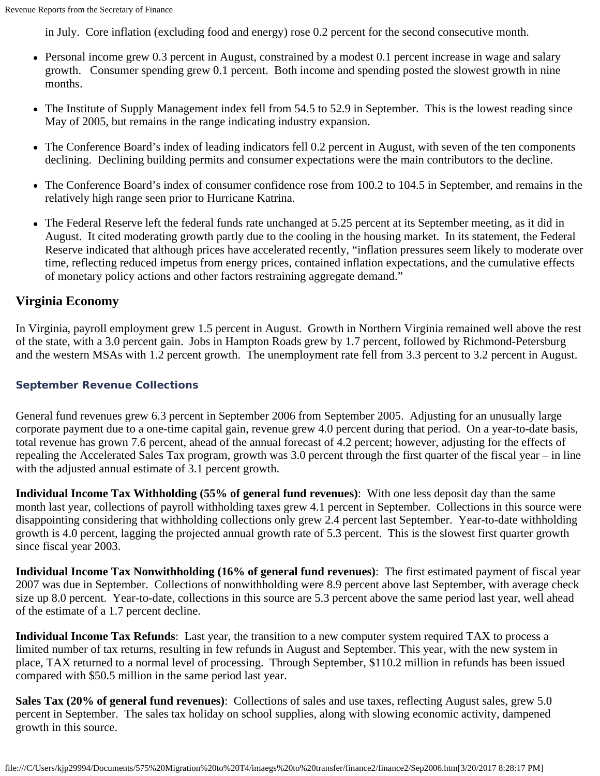in July. Core inflation (excluding food and energy) rose 0.2 percent for the second consecutive month.

- Personal income grew 0.3 percent in August, constrained by a modest 0.1 percent increase in wage and salary growth. Consumer spending grew 0.1 percent. Both income and spending posted the slowest growth in nine months.
- The Institute of Supply Management index fell from 54.5 to 52.9 in September. This is the lowest reading since May of 2005, but remains in the range indicating industry expansion.
- The Conference Board's index of leading indicators fell 0.2 percent in August, with seven of the ten components declining. Declining building permits and consumer expectations were the main contributors to the decline.
- The Conference Board's index of consumer confidence rose from 100.2 to 104.5 in September, and remains in the relatively high range seen prior to Hurricane Katrina.
- The Federal Reserve left the federal funds rate unchanged at 5.25 percent at its September meeting, as it did in August. It cited moderating growth partly due to the cooling in the housing market. In its statement, the Federal Reserve indicated that although prices have accelerated recently, "inflation pressures seem likely to moderate over time, reflecting reduced impetus from energy prices, contained inflation expectations, and the cumulative effects of monetary policy actions and other factors restraining aggregate demand."

## **Virginia Economy**

In Virginia, payroll employment grew 1.5 percent in August. Growth in Northern Virginia remained well above the rest of the state, with a 3.0 percent gain. Jobs in Hampton Roads grew by 1.7 percent, followed by Richmond-Petersburg and the western MSAs with 1.2 percent growth. The unemployment rate fell from 3.3 percent to 3.2 percent in August.

#### **September Revenue Collections**

General fund revenues grew 6.3 percent in September 2006 from September 2005. Adjusting for an unusually large corporate payment due to a one-time capital gain, revenue grew 4.0 percent during that period. On a year-to-date basis, total revenue has grown 7.6 percent, ahead of the annual forecast of 4.2 percent; however, adjusting for the effects of repealing the Accelerated Sales Tax program, growth was 3.0 percent through the first quarter of the fiscal year – in line with the adjusted annual estimate of 3.1 percent growth.

**Individual Income Tax Withholding (55% of general fund revenues)**: With one less deposit day than the same month last year, collections of payroll withholding taxes grew 4.1 percent in September. Collections in this source were disappointing considering that withholding collections only grew 2.4 percent last September. Year-to-date withholding growth is 4.0 percent, lagging the projected annual growth rate of 5.3 percent. This is the slowest first quarter growth since fiscal year 2003.

**Individual Income Tax Nonwithholding (16% of general fund revenues)**: The first estimated payment of fiscal year 2007 was due in September. Collections of nonwithholding were 8.9 percent above last September, with average check size up 8.0 percent. Year-to-date, collections in this source are 5.3 percent above the same period last year, well ahead of the estimate of a 1.7 percent decline.

**Individual Income Tax Refunds**: Last year, the transition to a new computer system required TAX to process a limited number of tax returns, resulting in few refunds in August and September. This year, with the new system in place, TAX returned to a normal level of processing. Through September, \$110.2 million in refunds has been issued compared with \$50.5 million in the same period last year.

**Sales Tax (20% of general fund revenues)**: Collections of sales and use taxes, reflecting August sales, grew 5.0 percent in September. The sales tax holiday on school supplies, along with slowing economic activity, dampened growth in this source.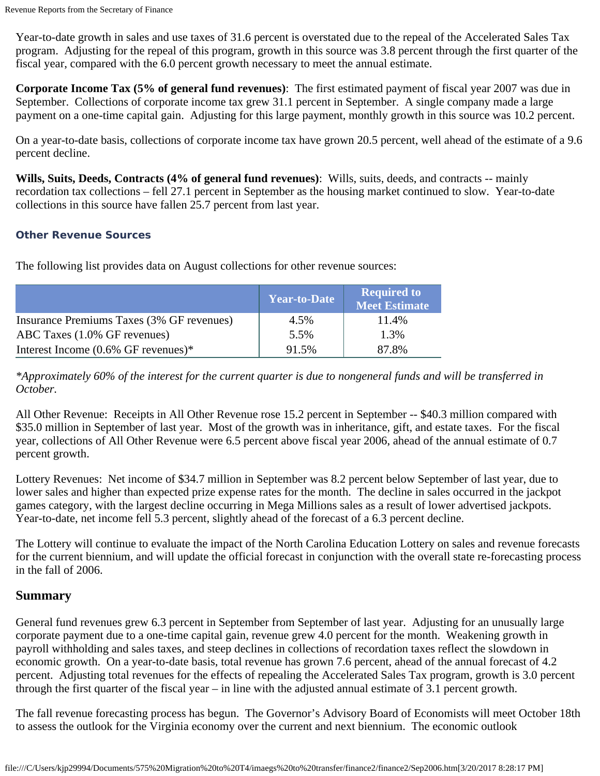Year-to-date growth in sales and use taxes of 31.6 percent is overstated due to the repeal of the Accelerated Sales Tax program. Adjusting for the repeal of this program, growth in this source was 3.8 percent through the first quarter of the fiscal year, compared with the 6.0 percent growth necessary to meet the annual estimate.

**Corporate Income Tax (5% of general fund revenues)**: The first estimated payment of fiscal year 2007 was due in September. Collections of corporate income tax grew 31.1 percent in September. A single company made a large payment on a one-time capital gain. Adjusting for this large payment, monthly growth in this source was 10.2 percent.

On a year-to-date basis, collections of corporate income tax have grown 20.5 percent, well ahead of the estimate of a 9.6 percent decline.

**Wills, Suits, Deeds, Contracts (4% of general fund revenues)**: Wills, suits, deeds, and contracts -- mainly recordation tax collections – fell 27.1 percent in September as the housing market continued to slow. Year-to-date collections in this source have fallen 25.7 percent from last year.

#### **Other Revenue Sources**

The following list provides data on August collections for other revenue sources:

|                                           | <b>Year-to-Date</b> | <b>Required to</b><br><b>Meet Estimate</b> |
|-------------------------------------------|---------------------|--------------------------------------------|
| Insurance Premiums Taxes (3% GF revenues) | 4.5%                | 11.4%                                      |
| ABC Taxes (1.0% GF revenues)              | 5.5%                | 1.3%                                       |
| Interest Income $(0.6\%$ GF revenues)*    | 91.5%               | 87.8%                                      |

*\*Approximately 60% of the interest for the current quarter is due to nongeneral funds and will be transferred in October.*

All Other Revenue: Receipts in All Other Revenue rose 15.2 percent in September -- \$40.3 million compared with \$35.0 million in September of last year. Most of the growth was in inheritance, gift, and estate taxes. For the fiscal year, collections of All Other Revenue were 6.5 percent above fiscal year 2006, ahead of the annual estimate of 0.7 percent growth.

Lottery Revenues: Net income of \$34.7 million in September was 8.2 percent below September of last year, due to lower sales and higher than expected prize expense rates for the month. The decline in sales occurred in the jackpot games category, with the largest decline occurring in Mega Millions sales as a result of lower advertised jackpots. Year-to-date, net income fell 5.3 percent, slightly ahead of the forecast of a 6.3 percent decline.

The Lottery will continue to evaluate the impact of the North Carolina Education Lottery on sales and revenue forecasts for the current biennium, and will update the official forecast in conjunction with the overall state re-forecasting process in the fall of 2006.

# **Summary**

General fund revenues grew 6.3 percent in September from September of last year. Adjusting for an unusually large corporate payment due to a one-time capital gain, revenue grew 4.0 percent for the month. Weakening growth in payroll withholding and sales taxes, and steep declines in collections of recordation taxes reflect the slowdown in economic growth. On a year-to-date basis, total revenue has grown 7.6 percent, ahead of the annual forecast of 4.2 percent. Adjusting total revenues for the effects of repealing the Accelerated Sales Tax program, growth is 3.0 percent through the first quarter of the fiscal year – in line with the adjusted annual estimate of 3.1 percent growth.

The fall revenue forecasting process has begun. The Governor's Advisory Board of Economists will meet October 18th to assess the outlook for the Virginia economy over the current and next biennium. The economic outlook